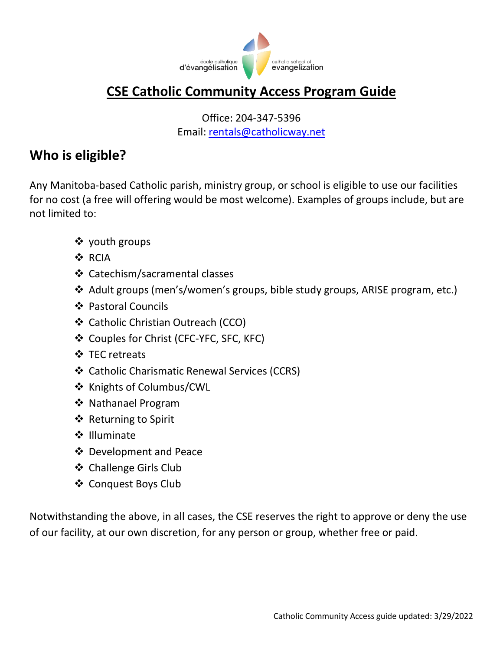

# **CSE Catholic Community Access Program Guide**

Office: 204-347-5396 Email: <rentals@catholicway.net>

## **Who is eligible?**

Any Manitoba-based Catholic parish, ministry group, or school is eligible to use our facilities for no cost (a free will offering would be most welcome). Examples of groups include, but are not limited to:

- ❖ youth groups
- ❖ RCIA
- ❖ Catechism/sacramental classes
- ❖ Adult groups (men's/women's groups, bible study groups, ARISE program, etc.)
- ❖ Pastoral Councils
- ❖ Catholic Christian Outreach (CCO)
- ❖ Couples for Christ (CFC-YFC, SFC, KFC)
- ❖ TEC retreats
- ❖ Catholic Charismatic Renewal Services (CCRS)
- ❖ Knights of Columbus/CWL
- ❖ Nathanael Program
- ❖ Returning to Spirit
- ❖ Illuminate
- ❖ Development and Peace
- ❖ Challenge Girls Club
- ❖ Conquest Boys Club

Notwithstanding the above, in all cases, the CSE reserves the right to approve or deny the use of our facility, at our own discretion, for any person or group, whether free or paid.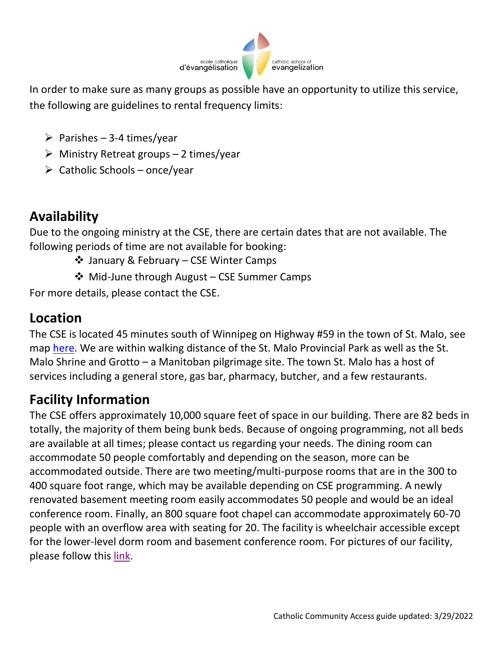

In order to make sure as many groups as possible have an opportunity to utilize this service, the following are guidelines to rental frequency limits:

- $\triangleright$  Parishes 3-4 times/year
- $\triangleright$  Ministry Retreat groups 2 times/year
- $\triangleright$  Catholic Schools once/year

# **Availability**

Due to the ongoing ministry at the CSE, there are certain dates that are not available. The following periods of time are not available for booking:

- ❖ January & February CSE Winter Camps
- ❖ Mid-June through August CSE Summer Camps

For more details, please contact the CSE.

# **Location**

The CSE is located 45 minutes south of Winnipeg on Highway #59 in the town of St. Malo, see map [here.](https://www.google.ca/maps/place/Catholic+School+Of+Evangelization/@49.3149418,-96.9536553,17z/data=!4m12!1m6!3m5!1s0x52c1a52b256f227f:0x33080f03886dd49!2sCatholic+School+Of+Evangelization!8m2!3d49.313887!4d-96.951286!3m4!1s0x52c1a52b256f227f:0x33080f03886dd49!8m2!3d49.313887!4d-96.951286?hl=en) We are within walking distance of the St. Malo Provincial Park as well as the St. Malo Shrine and Grotto – a Manitoban pilgrimage site. The town St. Malo has a host of services including a general store, gas bar, pharmacy, butcher, and a few restaurants.

# **Facility Information**

The CSE offers approximately 10,000 square feet of space in our building. There are 82 beds in totally, the majority of them being bunk beds. Because of ongoing programming, not all beds are available at all times; please contact us regarding your needs. The dining room can accommodate 50 people comfortably and depending on the season, more can be accommodated outside. There are two meeting/multi-purpose rooms that are in the 300 to 400 square foot range, which may be available depending on CSE programming. A newly renovated basement meeting room easily accommodates 50 people and would be an ideal conference room. Finally, an 800 square foot chapel can accommodate approximately 60-70 people with an overflow area with seating for 20. The facility is wheelchair accessible except for the lower-level dorm room and basement conference room. For pictures of our facility, please follow this [link.](https://www.catholicway.net/facility-rental)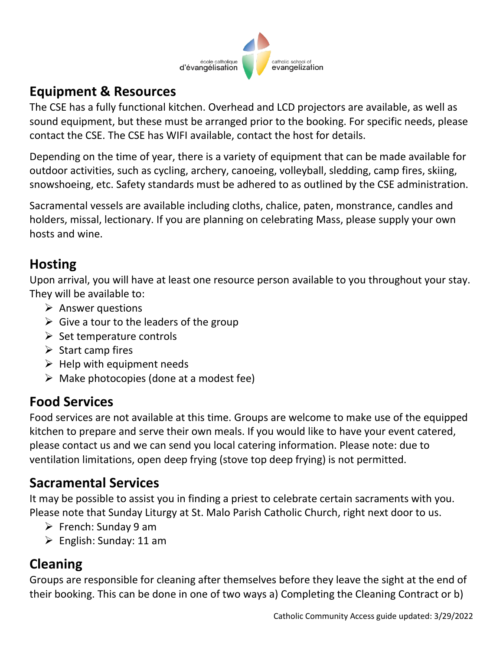

## **Equipment & Resources**

The CSE has a fully functional kitchen. Overhead and LCD projectors are available, as well as sound equipment, but these must be arranged prior to the booking. For specific needs, please contact the CSE. The CSE has WIFI available, contact the host for details.

Depending on the time of year, there is a variety of equipment that can be made available for outdoor activities, such as cycling, archery, canoeing, volleyball, sledding, camp fires, skiing, snowshoeing, etc. Safety standards must be adhered to as outlined by the CSE administration.

Sacramental vessels are available including cloths, chalice, paten, monstrance, candles and holders, missal, lectionary. If you are planning on celebrating Mass, please supply your own hosts and wine.

### **Hosting**

Upon arrival, you will have at least one resource person available to you throughout your stay. They will be available to:

- $\triangleright$  Answer questions
- $\triangleright$  Give a tour to the leaders of the group
- $\triangleright$  Set temperature controls
- $\triangleright$  Start camp fires
- $\triangleright$  Help with equipment needs
- $\triangleright$  Make photocopies (done at a modest fee)

### **Food Services**

Food services are not available at this time. Groups are welcome to make use of the equipped kitchen to prepare and serve their own meals. If you would like to have your event catered, please contact us and we can send you local catering information. Please note: due to ventilation limitations, open deep frying (stove top deep frying) is not permitted.

### **Sacramental Services**

It may be possible to assist you in finding a priest to celebrate certain sacraments with you. Please note that Sunday Liturgy at St. Malo Parish Catholic Church, right next door to us.

- $\triangleright$  French: Sunday 9 am
- $\triangleright$  English: Sunday: 11 am

# **Cleaning**

Groups are responsible for cleaning after themselves before they leave the sight at the end of their booking. This can be done in one of two ways a) Completing the Cleaning Contract or b)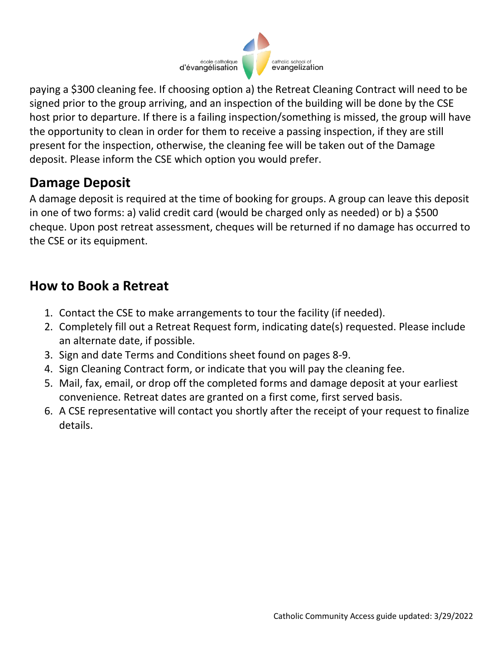

paying a \$300 cleaning fee. If choosing option a) the Retreat Cleaning Contract will need to be signed prior to the group arriving, and an inspection of the building will be done by the CSE host prior to departure. If there is a failing inspection/something is missed, the group will have the opportunity to clean in order for them to receive a passing inspection, if they are still present for the inspection, otherwise, the cleaning fee will be taken out of the Damage deposit. Please inform the CSE which option you would prefer.

### **Damage Deposit**

A damage deposit is required at the time of booking for groups. A group can leave this deposit in one of two forms: a) valid credit card (would be charged only as needed) or b) a \$500 cheque. Upon post retreat assessment, cheques will be returned if no damage has occurred to the CSE or its equipment.

### **How to Book a Retreat**

- 1. Contact the CSE to make arrangements to tour the facility (if needed).
- 2. Completely fill out a Retreat Request form, indicating date(s) requested. Please include an alternate date, if possible.
- 3. Sign and date Terms and Conditions sheet found on pages 8-9.
- 4. Sign Cleaning Contract form, or indicate that you will pay the cleaning fee.
- 5. Mail, fax, email, or drop off the completed forms and damage deposit at your earliest convenience. Retreat dates are granted on a first come, first served basis.
- 6. A CSE representative will contact you shortly after the receipt of your request to finalize details.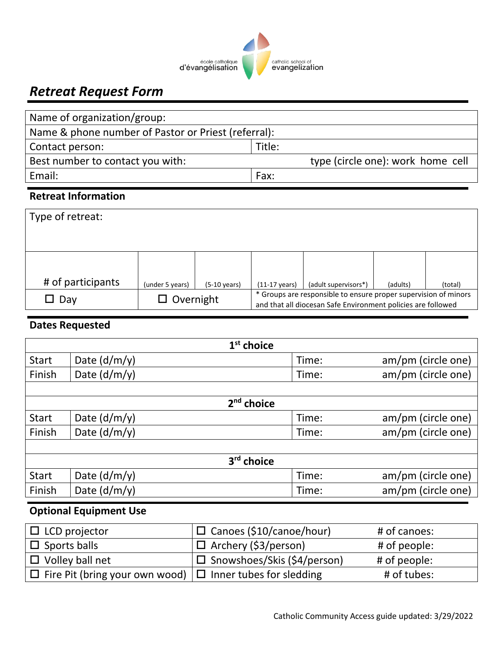

# *Retreat Request Form*

| Name of organization/group:                         |                                   |  |  |  |
|-----------------------------------------------------|-----------------------------------|--|--|--|
| Name & phone number of Pastor or Priest (referral): |                                   |  |  |  |
| Title:<br>Contact person:                           |                                   |  |  |  |
| Best number to contact you with:                    | type (circle one): work home cell |  |  |  |
| Email:                                              | Fax:                              |  |  |  |
|                                                     |                                   |  |  |  |

#### **Retreat Information**

| Type of retreat:  |                  |                        |                         |                                                                                                                                 |          |         |
|-------------------|------------------|------------------------|-------------------------|---------------------------------------------------------------------------------------------------------------------------------|----------|---------|
|                   |                  |                        |                         |                                                                                                                                 |          |         |
| # of participants | (under 5 years)  | $(5-10 \text{ years})$ | $(11-17 \text{ years})$ | (adult supervisors*)                                                                                                            | (adults) | (total) |
| $\square$ Dav     | $\Box$ Overnight |                        |                         | * Groups are responsible to ensure proper supervision of minors<br>and that all diocesan Safe Environment policies are followed |          |         |

### **Dates Requested**

| $1st$ choice |                |                        |                    |  |
|--------------|----------------|------------------------|--------------------|--|
| <b>Start</b> | Date $(d/m/y)$ | Time:                  | am/pm (circle one) |  |
| Finish       | Date $(d/m/y)$ | Time:                  | am/pm (circle one) |  |
|              |                |                        |                    |  |
|              |                | $2nd$ choice           |                    |  |
| <b>Start</b> | Date $(d/m/y)$ | Time:                  | am/pm (circle one) |  |
| Finish       | Date $(d/m/y)$ | Time:                  | am/pm (circle one) |  |
|              |                |                        |                    |  |
|              |                | 3 <sup>rd</sup> choice |                    |  |
| <b>Start</b> | Date $(d/m/y)$ | Time:                  | am/pm (circle one) |  |
| Finish       | Date $(d/m/y)$ | Time:                  | am/pm (circle one) |  |

#### **Optional Equipment Use**

| $\Box$ LCD projector                                                  | □ Canoes (\$10/canoe/hour)    | # of canoes: |
|-----------------------------------------------------------------------|-------------------------------|--------------|
| $\Box$ Sports balls                                                   | $\Box$ Archery (\$3/person)   | # of people: |
| $\Box$ Volley ball net                                                | □ Snowshoes/Skis (\$4/person) | # of people: |
| $\Box$ Fire Pit (bring your own wood) $\Box$ Inner tubes for sledding |                               | # of tubes:  |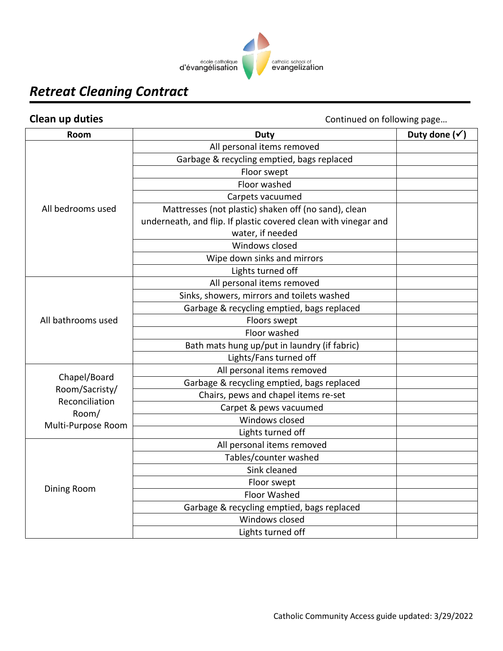

# *Retreat Cleaning Contract*

**Clean up duties** Clean up duties **Clean up duties** Continued on following page...

| Room               | <b>Duty</b>                                                     | Duty done $(\checkmark)$ |
|--------------------|-----------------------------------------------------------------|--------------------------|
|                    | All personal items removed                                      |                          |
|                    | Garbage & recycling emptied, bags replaced                      |                          |
|                    | Floor swept                                                     |                          |
|                    | Floor washed                                                    |                          |
|                    | Carpets vacuumed                                                |                          |
| All bedrooms used  | Mattresses (not plastic) shaken off (no sand), clean            |                          |
|                    | underneath, and flip. If plastic covered clean with vinegar and |                          |
|                    | water, if needed                                                |                          |
|                    | Windows closed                                                  |                          |
|                    | Wipe down sinks and mirrors                                     |                          |
|                    | Lights turned off                                               |                          |
|                    | All personal items removed                                      |                          |
|                    | Sinks, showers, mirrors and toilets washed                      |                          |
|                    | Garbage & recycling emptied, bags replaced                      |                          |
| All bathrooms used | Floors swept                                                    |                          |
|                    | Floor washed                                                    |                          |
|                    | Bath mats hung up/put in laundry (if fabric)                    |                          |
|                    | Lights/Fans turned off                                          |                          |
| Chapel/Board       | All personal items removed                                      |                          |
| Room/Sacristy/     | Garbage & recycling emptied, bags replaced                      |                          |
| Reconciliation     | Chairs, pews and chapel items re-set                            |                          |
| Room/              | Carpet & pews vacuumed                                          |                          |
| Multi-Purpose Room | Windows closed                                                  |                          |
|                    | Lights turned off                                               |                          |
|                    | All personal items removed                                      |                          |
|                    | Tables/counter washed                                           |                          |
|                    | Sink cleaned                                                    |                          |
| Dining Room        | Floor swept                                                     |                          |
|                    | <b>Floor Washed</b>                                             |                          |
|                    | Garbage & recycling emptied, bags replaced                      |                          |
|                    | Windows closed                                                  |                          |
|                    | Lights turned off                                               |                          |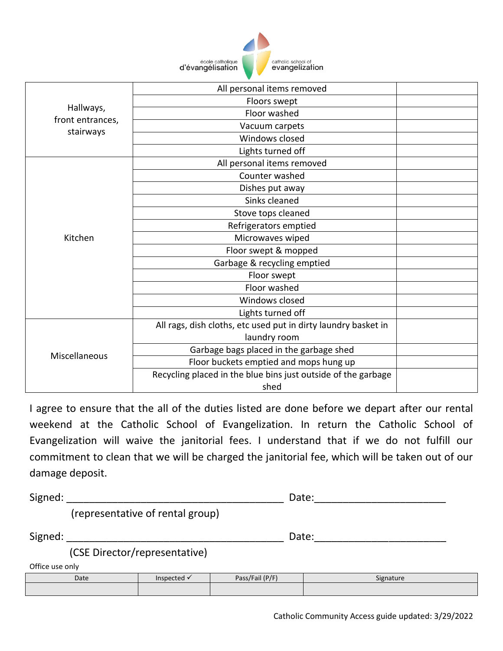

|                  | All personal items removed                                     |  |
|------------------|----------------------------------------------------------------|--|
|                  | Floors swept                                                   |  |
| Hallways,        | Floor washed                                                   |  |
| front entrances, | Vacuum carpets                                                 |  |
| stairways        | Windows closed                                                 |  |
|                  | Lights turned off                                              |  |
|                  | All personal items removed                                     |  |
|                  | Counter washed                                                 |  |
|                  | Dishes put away                                                |  |
|                  | Sinks cleaned                                                  |  |
|                  | Stove tops cleaned                                             |  |
|                  | Refrigerators emptied                                          |  |
| Kitchen          | Microwaves wiped                                               |  |
|                  | Floor swept & mopped                                           |  |
|                  | Garbage & recycling emptied                                    |  |
|                  | Floor swept                                                    |  |
|                  | Floor washed                                                   |  |
|                  | Windows closed                                                 |  |
|                  | Lights turned off                                              |  |
|                  | All rags, dish cloths, etc used put in dirty laundry basket in |  |
|                  | laundry room                                                   |  |
| Miscellaneous    | Garbage bags placed in the garbage shed                        |  |
|                  | Floor buckets emptied and mops hung up                         |  |
|                  | Recycling placed in the blue bins just outside of the garbage  |  |
|                  | shed                                                           |  |

I agree to ensure that the all of the duties listed are done before we depart after our rental weekend at the Catholic School of Evangelization. In return the Catholic School of Evangelization will waive the janitorial fees. I understand that if we do not fulfill our commitment to clean that we will be charged the janitorial fee, which will be taken out of our damage deposit.

| Signed:         |      | Date:                            |                 |       |           |  |
|-----------------|------|----------------------------------|-----------------|-------|-----------|--|
|                 |      | (representative of rental group) |                 |       |           |  |
| Signed:         |      |                                  |                 | Date: |           |  |
|                 |      | (CSE Director/representative)    |                 |       |           |  |
| Office use only |      |                                  |                 |       |           |  |
|                 | Date | Inspected √                      | Pass/Fail (P/F) |       | Signature |  |
|                 |      |                                  |                 |       |           |  |
|                 |      |                                  |                 |       |           |  |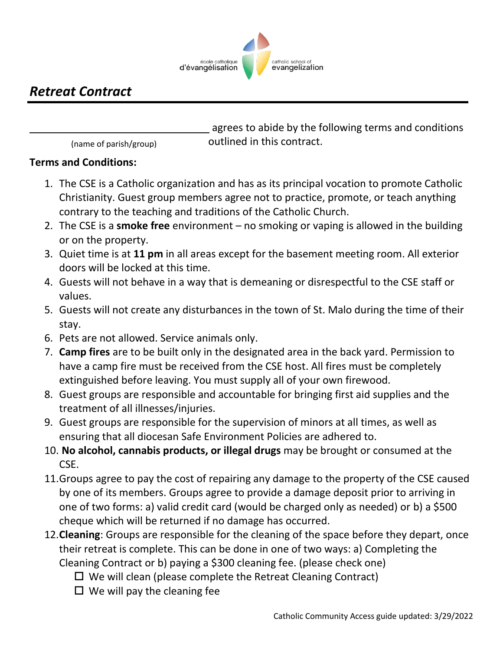

## *Retreat Contract*

 agrees to abide by the following terms and conditions outlined in this contract.

(name of parish/group)

#### **Terms and Conditions:**

- 1. The CSE is a Catholic organization and has as its principal vocation to promote Catholic Christianity. Guest group members agree not to practice, promote, or teach anything contrary to the teaching and traditions of the Catholic Church.
- 2. The CSE is a **smoke free** environment no smoking or vaping is allowed in the building or on the property.
- 3. Quiet time is at **11 pm** in all areas except for the basement meeting room. All exterior doors will be locked at this time.
- 4. Guests will not behave in a way that is demeaning or disrespectful to the CSE staff or values.
- 5. Guests will not create any disturbances in the town of St. Malo during the time of their stay.
- 6. Pets are not allowed. Service animals only.
- 7. **Camp fires** are to be built only in the designated area in the back yard. Permission to have a camp fire must be received from the CSE host. All fires must be completely extinguished before leaving. You must supply all of your own firewood.
- 8. Guest groups are responsible and accountable for bringing first aid supplies and the treatment of all illnesses/injuries.
- 9. Guest groups are responsible for the supervision of minors at all times, as well as ensuring that all diocesan Safe Environment Policies are adhered to.
- 10. **No alcohol, cannabis products, or illegal drugs** may be brought or consumed at the CSE.
- 11.Groups agree to pay the cost of repairing any damage to the property of the CSE caused by one of its members. Groups agree to provide a damage deposit prior to arriving in one of two forms: a) valid credit card (would be charged only as needed) or b) a \$500 cheque which will be returned if no damage has occurred.
- 12.**Cleaning**: Groups are responsible for the cleaning of the space before they depart, once their retreat is complete. This can be done in one of two ways: a) Completing the Cleaning Contract or b) paying a \$300 cleaning fee. (please check one)
	- $\Box$  We will clean (please complete the Retreat Cleaning Contract)
	- $\Box$  We will pay the cleaning fee